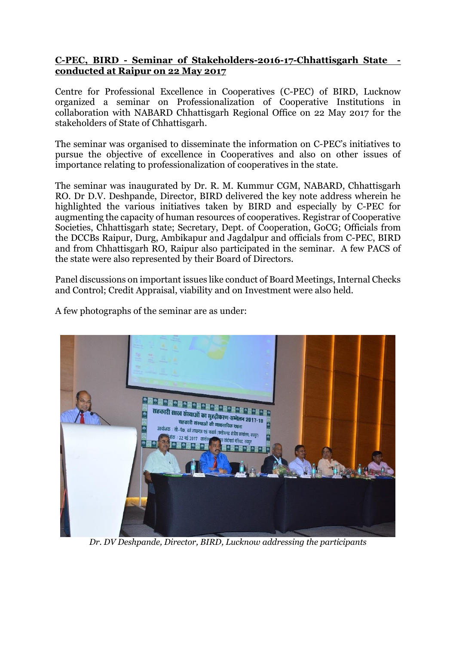## **C-PEC, BIRD - Seminar of Stakeholders-2016-17-Chhattisgarh State conducted at Raipur on 22 May 2017**

Centre for Professional Excellence in Cooperatives (C-PEC) of BIRD, Lucknow organized a seminar on Professionalization of Cooperative Institutions in collaboration with NABARD Chhattisgarh Regional Office on 22 May 2017 for the stakeholders of State of Chhattisgarh.

The seminar was organised to disseminate the information on C-PEC's initiatives to pursue the objective of excellence in Cooperatives and also on other issues of importance relating to professionalization of cooperatives in the state.

The seminar was inaugurated by Dr. R. M. Kummur CGM, NABARD, Chhattisgarh RO. Dr D.V. Deshpande, Director, BIRD delivered the key note address wherein he highlighted the various initiatives taken by BIRD and especially by C-PEC for augmenting the capacity of human resources of cooperatives. Registrar of Cooperative Societies, Chhattisgarh state; Secretary, Dept. of Cooperation, GoCG; Officials from the DCCBs Raipur, Durg, Ambikapur and Jagdalpur and officials from C-PEC, BIRD and from Chhattisgarh RO, Raipur also participated in the seminar. A few PACS of the state were also represented by their Board of Directors.

Panel discussions on important issues like conduct of Board Meetings, Internal Checks and Control; Credit Appraisal, viability and on Investment were also held.

A few photographs of the seminar are as under:



*Dr. DV Deshpande, Director, BIRD, Lucknow addressing the participants*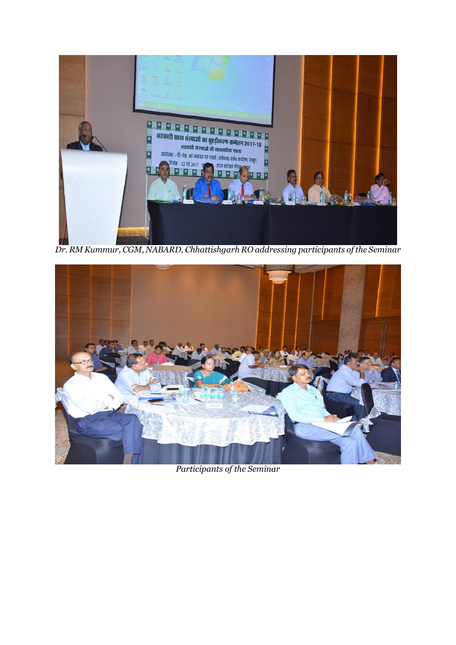

*Dr. RM Kummur, CGM, NABARD, Chhattishgarh RO addressing participants of the Seminar*



*Participants of the Seminar*